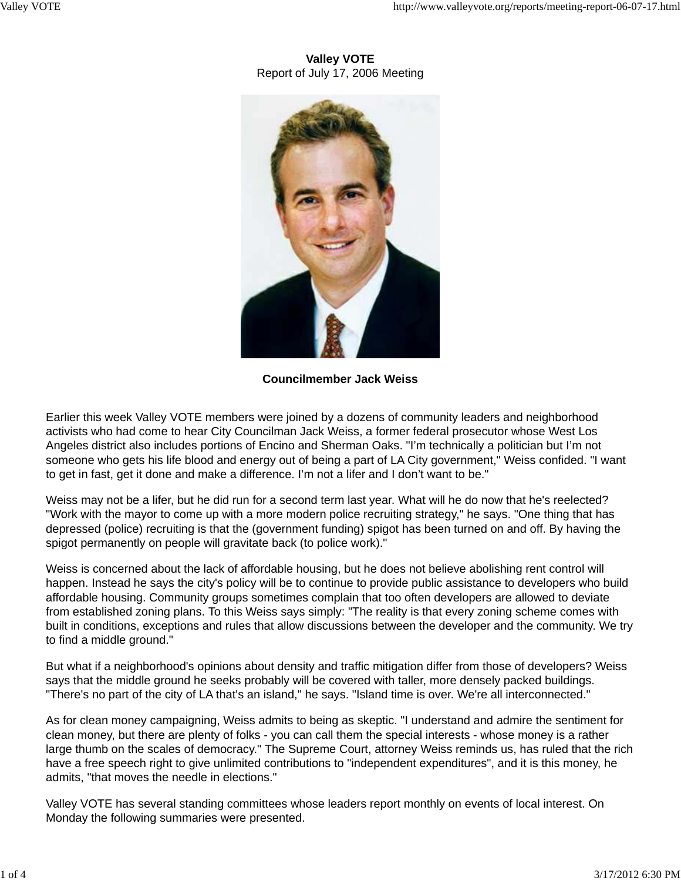# **Valley VOTE** Report of July 17, 2006 Meeting



**Councilmember Jack Weiss**

Earlier this week Valley VOTE members were joined by a dozens of community leaders and neighborhood activists who had come to hear City Councilman Jack Weiss, a former federal prosecutor whose West Los Angeles district also includes portions of Encino and Sherman Oaks. "I'm technically a politician but I'm not someone who gets his life blood and energy out of being a part of LA City government," Weiss confided. "I want to get in fast, get it done and make a difference. I'm not a lifer and I don't want to be."

Weiss may not be a lifer, but he did run for a second term last year. What will he do now that he's reelected? "Work with the mayor to come up with a more modern police recruiting strategy," he says. "One thing that has depressed (police) recruiting is that the (government funding) spigot has been turned on and off. By having the spigot permanently on people will gravitate back (to police work)."

Weiss is concerned about the lack of affordable housing, but he does not believe abolishing rent control will happen. Instead he says the city's policy will be to continue to provide public assistance to developers who build affordable housing. Community groups sometimes complain that too often developers are allowed to deviate from established zoning plans. To this Weiss says simply: "The reality is that every zoning scheme comes with built in conditions, exceptions and rules that allow discussions between the developer and the community. We try to find a middle ground."

But what if a neighborhood's opinions about density and traffic mitigation differ from those of developers? Weiss says that the middle ground he seeks probably will be covered with taller, more densely packed buildings. "There's no part of the city of LA that's an island," he says. "Island time is over. We're all interconnected."

As for clean money campaigning, Weiss admits to being as skeptic. "I understand and admire the sentiment for clean money, but there are plenty of folks - you can call them the special interests - whose money is a rather large thumb on the scales of democracy." The Supreme Court, attorney Weiss reminds us, has ruled that the rich have a free speech right to give unlimited contributions to "independent expenditures", and it is this money, he admits, "that moves the needle in elections."

Valley VOTE has several standing committees whose leaders report monthly on events of local interest. On Monday the following summaries were presented.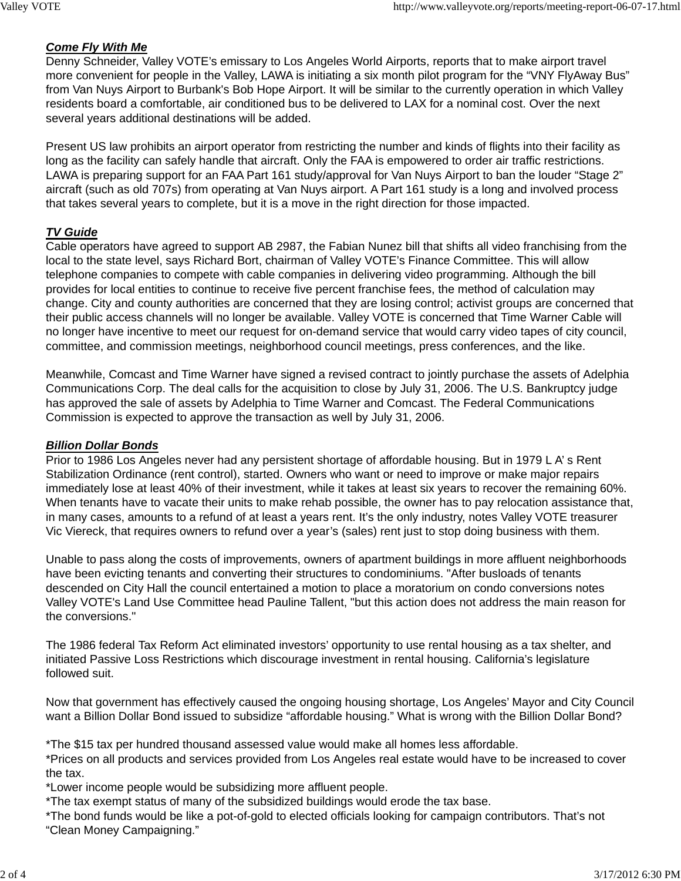# *Come Fly With Me*

Denny Schneider, Valley VOTE's emissary to Los Angeles World Airports, reports that to make airport travel more convenient for people in the Valley, LAWA is initiating a six month pilot program for the "VNY FlyAway Bus" from Van Nuys Airport to Burbank's Bob Hope Airport. It will be similar to the currently operation in which Valley residents board a comfortable, air conditioned bus to be delivered to LAX for a nominal cost. Over the next several years additional destinations will be added.

Present US law prohibits an airport operator from restricting the number and kinds of flights into their facility as long as the facility can safely handle that aircraft. Only the FAA is empowered to order air traffic restrictions. LAWA is preparing support for an FAA Part 161 study/approval for Van Nuys Airport to ban the louder "Stage 2" aircraft (such as old 707s) from operating at Van Nuys airport. A Part 161 study is a long and involved process that takes several years to complete, but it is a move in the right direction for those impacted.

# *TV Guide*

Cable operators have agreed to support AB 2987, the Fabian Nunez bill that shifts all video franchising from the local to the state level, says Richard Bort, chairman of Valley VOTE's Finance Committee. This will allow telephone companies to compete with cable companies in delivering video programming. Although the bill provides for local entities to continue to receive five percent franchise fees, the method of calculation may change. City and county authorities are concerned that they are losing control; activist groups are concerned that their public access channels will no longer be available. Valley VOTE is concerned that Time Warner Cable will no longer have incentive to meet our request for on-demand service that would carry video tapes of city council, committee, and commission meetings, neighborhood council meetings, press conferences, and the like.

Meanwhile, Comcast and Time Warner have signed a revised contract to jointly purchase the assets of Adelphia Communications Corp. The deal calls for the acquisition to close by July 31, 2006. The U.S. Bankruptcy judge has approved the sale of assets by Adelphia to Time Warner and Comcast. The Federal Communications Commission is expected to approve the transaction as well by July 31, 2006.

## *Billion Dollar Bonds*

Prior to 1986 Los Angeles never had any persistent shortage of affordable housing. But in 1979 L A' s Rent Stabilization Ordinance (rent control), started. Owners who want or need to improve or make major repairs immediately lose at least 40% of their investment, while it takes at least six years to recover the remaining 60%. When tenants have to vacate their units to make rehab possible, the owner has to pay relocation assistance that, in many cases, amounts to a refund of at least a years rent. It's the only industry, notes Valley VOTE treasurer Vic Viereck, that requires owners to refund over a year's (sales) rent just to stop doing business with them.

Unable to pass along the costs of improvements, owners of apartment buildings in more affluent neighborhoods have been evicting tenants and converting their structures to condominiums. "After busloads of tenants descended on City Hall the council entertained a motion to place a moratorium on condo conversions notes Valley VOTE's Land Use Committee head Pauline Tallent, "but this action does not address the main reason for the conversions."

The 1986 federal Tax Reform Act eliminated investors' opportunity to use rental housing as a tax shelter, and initiated Passive Loss Restrictions which discourage investment in rental housing. California's legislature followed suit.

Now that government has effectively caused the ongoing housing shortage, Los Angeles' Mayor and City Council want a Billion Dollar Bond issued to subsidize "affordable housing." What is wrong with the Billion Dollar Bond?

\*The \$15 tax per hundred thousand assessed value would make all homes less affordable.

\*Prices on all products and services provided from Los Angeles real estate would have to be increased to cover the tax.

\*Lower income people would be subsidizing more affluent people.

\*The tax exempt status of many of the subsidized buildings would erode the tax base.

\*The bond funds would be like a pot-of-gold to elected officials looking for campaign contributors. That's not "Clean Money Campaigning."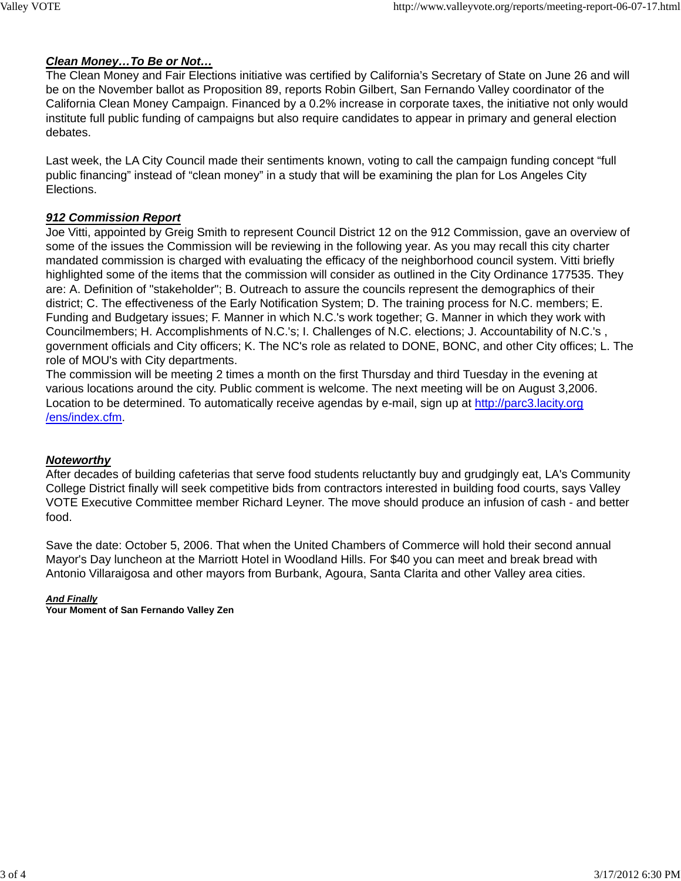## *Clean Money…To Be or Not…*

The Clean Money and Fair Elections initiative was certified by California's Secretary of State on June 26 and will be on the November ballot as Proposition 89, reports Robin Gilbert, San Fernando Valley coordinator of the California Clean Money Campaign. Financed by a 0.2% increase in corporate taxes, the initiative not only would institute full public funding of campaigns but also require candidates to appear in primary and general election debates.

Last week, the LA City Council made their sentiments known, voting to call the campaign funding concept "full public financing" instead of "clean money" in a study that will be examining the plan for Los Angeles City Elections.

# *912 Commission Report*

Joe Vitti, appointed by Greig Smith to represent Council District 12 on the 912 Commission, gave an overview of some of the issues the Commission will be reviewing in the following year. As you may recall this city charter mandated commission is charged with evaluating the efficacy of the neighborhood council system. Vitti briefly highlighted some of the items that the commission will consider as outlined in the City Ordinance 177535. They are: A. Definition of "stakeholder"; B. Outreach to assure the councils represent the demographics of their district; C. The effectiveness of the Early Notification System; D. The training process for N.C. members; E. Funding and Budgetary issues; F. Manner in which N.C.'s work together; G. Manner in which they work with Councilmembers; H. Accomplishments of N.C.'s; I. Challenges of N.C. elections; J. Accountability of N.C.'s , government officials and City officers; K. The NC's role as related to DONE, BONC, and other City offices; L. The role of MOU's with City departments.

The commission will be meeting 2 times a month on the first Thursday and third Tuesday in the evening at various locations around the city. Public comment is welcome. The next meeting will be on August 3,2006. Location to be determined. To automatically receive agendas by e-mail, sign up at http://parc3.lacity.org /ens/index.cfm.

## *Noteworthy*

After decades of building cafeterias that serve food students reluctantly buy and grudgingly eat, LA's Community College District finally will seek competitive bids from contractors interested in building food courts, says Valley VOTE Executive Committee member Richard Leyner. The move should produce an infusion of cash - and better food.

Save the date: October 5, 2006. That when the United Chambers of Commerce will hold their second annual Mayor's Day luncheon at the Marriott Hotel in Woodland Hills. For \$40 you can meet and break bread with Antonio Villaraigosa and other mayors from Burbank, Agoura, Santa Clarita and other Valley area cities.

## *And Finally*

**Your Moment of San Fernando Valley Zen**